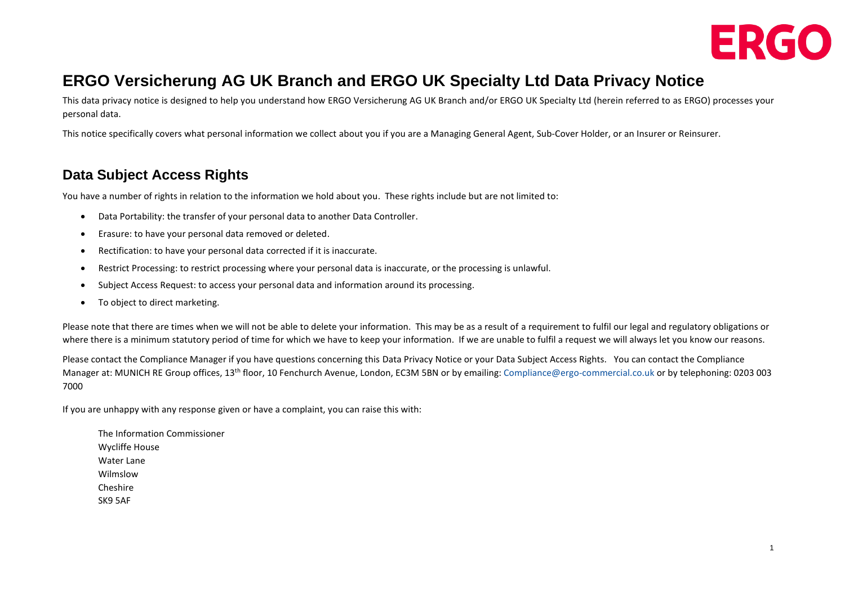

# **ERGO Versicherung AG UK Branch and ERGO UK Specialty Ltd Data Privacy Notice**

This data privacy notice is designed to help you understand how ERGO Versicherung AG UK Branch and/or ERGO UK Specialty Ltd (herein referred to as ERGO) processes your personal data.

This notice specifically covers what personal information we collect about you if you are a Managing General Agent, Sub-Cover Holder, or an Insurer or Reinsurer.

## **Data Subject Access Rights**

You have a number of rights in relation to the information we hold about you. These rights include but are not limited to:

- Data Portability: the transfer of your personal data to another Data Controller.
- Erasure: to have your personal data removed or deleted.
- Rectification: to have your personal data corrected if it is inaccurate.
- Restrict Processing: to restrict processing where your personal data is inaccurate, or the processing is unlawful.
- Subject Access Request: to access your personal data and information around its processing.
- To object to direct marketing.

Please note that there are times when we will not be able to delete your information. This may be as a result of a requirement to fulfil our legal and regulatory obligations or where there is a minimum statutory period of time for which we have to keep your information. If we are unable to fulfil a request we will always let you know our reasons.

Please contact the Compliance Manager if you have questions concerning this Data Privacy Notice or your Data Subject Access Rights. You can contact the Compliance Manager at: MUNICH RE Group offices, 13<sup>th</sup> floor, 10 Fenchurch Avenue, London, EC3M 5BN or by emailing: [Compliance@ergo-commercial.co.uk](mailto:Compliance@ergo-commercial.co.uk) or by telephoning: 0203 003 7000

If you are unhappy with any response given or have a complaint, you can raise this with:

The Information Commissioner Wycliffe House Water Lane Wilmslow Cheshire SK9 5AF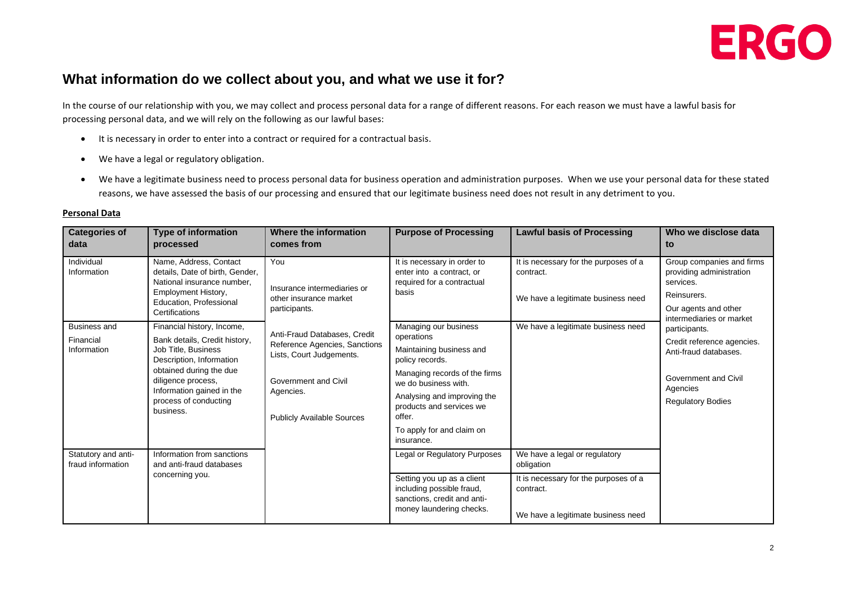

### **What information do we collect about you, and what we use it for?**

In the course of our relationship with you, we may collect and process personal data for a range of different reasons. For each reason we must have a lawful basis for processing personal data, and we will rely on the following as our lawful bases:

- It is necessary in order to enter into a contract or required for a contractual basis.
- We have a legal or regulatory obligation.
- We have a legitimate business need to process personal data for business operation and administration purposes. When we use your personal data for these stated reasons, we have assessed the basis of our processing and ensured that our legitimate business need does not result in any detriment to you.

| <b>Categories of</b><br>data             | <b>Type of information</b><br>processed                                                                                                                                                              | Where the information<br>comes from                                                       | <b>Purpose of Processing</b>                                                                                       | <b>Lawful basis of Processing</b>                                                        | Who we disclose data<br>to                                                        |
|------------------------------------------|------------------------------------------------------------------------------------------------------------------------------------------------------------------------------------------------------|-------------------------------------------------------------------------------------------|--------------------------------------------------------------------------------------------------------------------|------------------------------------------------------------------------------------------|-----------------------------------------------------------------------------------|
| Individual<br>Information                | Name, Address, Contact<br>details, Date of birth, Gender,<br>National insurance number.<br>Employment History,<br>Education, Professional<br>Certifications                                          | You<br>Insurance intermediaries or<br>other insurance market<br>participants.             | It is necessary in order to<br>enter into a contract, or<br>required for a contractual<br>basis                    | It is necessary for the purposes of a<br>contract.                                       | Group companies and firms<br>providing administration<br>services.<br>Reinsurers. |
|                                          |                                                                                                                                                                                                      |                                                                                           |                                                                                                                    | We have a legitimate business need                                                       | Our agents and other<br>intermediaries or market                                  |
| <b>Business and</b>                      | Financial history, Income,                                                                                                                                                                           | Anti-Fraud Databases, Credit<br>Reference Agencies, Sanctions<br>Lists, Court Judgements. | Managing our business                                                                                              | We have a legitimate business need                                                       | participants.                                                                     |
| Financial<br>Information                 | Bank details, Credit history,<br>Job Title, Business<br>Description, Information<br>obtained during the due<br>diligence process,<br>Information gained in the<br>process of conducting<br>business. |                                                                                           | operations<br>Maintaining business and<br>policy records.                                                          |                                                                                          | Credit reference agencies.<br>Anti-fraud databases.                               |
|                                          |                                                                                                                                                                                                      | Government and Civil<br>Agencies.<br><b>Publicly Available Sources</b>                    | Managing records of the firms<br>we do business with.                                                              |                                                                                          | Government and Civil<br>Agencies                                                  |
|                                          |                                                                                                                                                                                                      |                                                                                           | Analysing and improving the<br>products and services we<br>offer.                                                  |                                                                                          | <b>Regulatory Bodies</b>                                                          |
|                                          |                                                                                                                                                                                                      |                                                                                           | To apply for and claim on<br>insurance.                                                                            |                                                                                          |                                                                                   |
| Statutory and anti-<br>fraud information | Information from sanctions<br>and anti-fraud databases<br>concerning you.                                                                                                                            |                                                                                           | Legal or Regulatory Purposes                                                                                       | We have a legal or regulatory<br>obligation                                              |                                                                                   |
|                                          |                                                                                                                                                                                                      |                                                                                           | Setting you up as a client<br>including possible fraud,<br>sanctions, credit and anti-<br>money laundering checks. | It is necessary for the purposes of a<br>contract.<br>We have a legitimate business need |                                                                                   |

#### **Personal Data**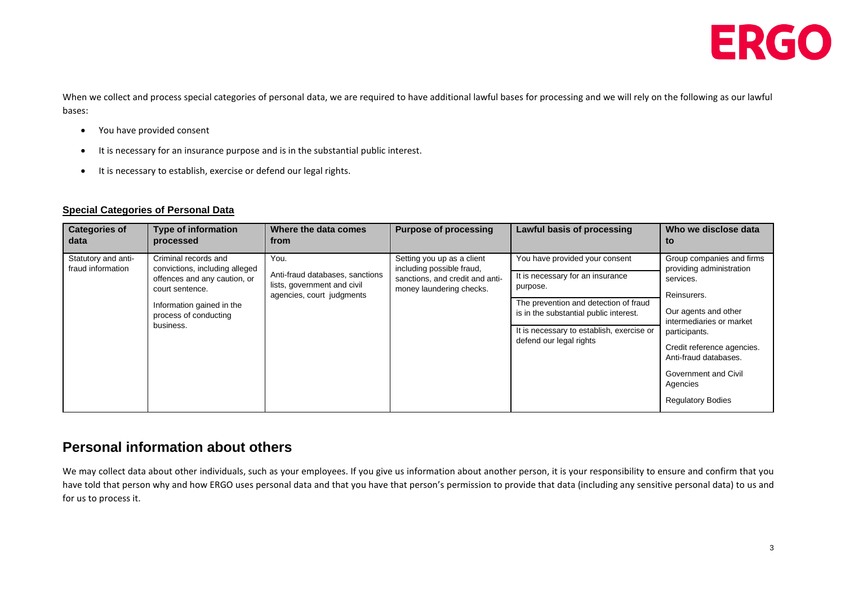

When we collect and process special categories of personal data, we are required to have additional lawful bases for processing and we will rely on the following as our lawful bases:

- You have provided consent
- It is necessary for an insurance purpose and is in the substantial public interest.
- It is necessary to establish, exercise or defend our legal rights.

#### **Special Categories of Personal Data**

| <b>Categories of</b><br>data             | <b>Type of information</b><br>processed                                                                                                                                      | Where the data comes<br>from                                                                        | <b>Purpose of processing</b>                                                                                           | Lawful basis of processing                                                                                                                                                                                                                | Who we disclose data<br>to                                                                                                                                                                                                                                                    |
|------------------------------------------|------------------------------------------------------------------------------------------------------------------------------------------------------------------------------|-----------------------------------------------------------------------------------------------------|------------------------------------------------------------------------------------------------------------------------|-------------------------------------------------------------------------------------------------------------------------------------------------------------------------------------------------------------------------------------------|-------------------------------------------------------------------------------------------------------------------------------------------------------------------------------------------------------------------------------------------------------------------------------|
| Statutory and anti-<br>fraud information | Criminal records and<br>convictions, including alleged<br>offences and any caution, or<br>court sentence.<br>Information gained in the<br>process of conducting<br>business. | You.<br>Anti-fraud databases, sanctions<br>lists, government and civil<br>agencies, court judgments | Setting you up as a client<br>including possible fraud,<br>sanctions, and credit and anti-<br>money laundering checks. | You have provided your consent<br>It is necessary for an insurance<br>purpose.<br>The prevention and detection of fraud<br>is in the substantial public interest.<br>It is necessary to establish, exercise or<br>defend our legal rights | Group companies and firms<br>providing administration<br>services.<br>Reinsurers.<br>Our agents and other<br>intermediaries or market<br>participants.<br>Credit reference agencies.<br>Anti-fraud databases.<br>Government and Civil<br>Agencies<br><b>Regulatory Bodies</b> |

### **Personal information about others**

We may collect data about other individuals, such as your employees. If you give us information about another person, it is your responsibility to ensure and confirm that you have told that person why and how ERGO uses personal data and that you have that person's permission to provide that data (including any sensitive personal data) to us and for us to process it.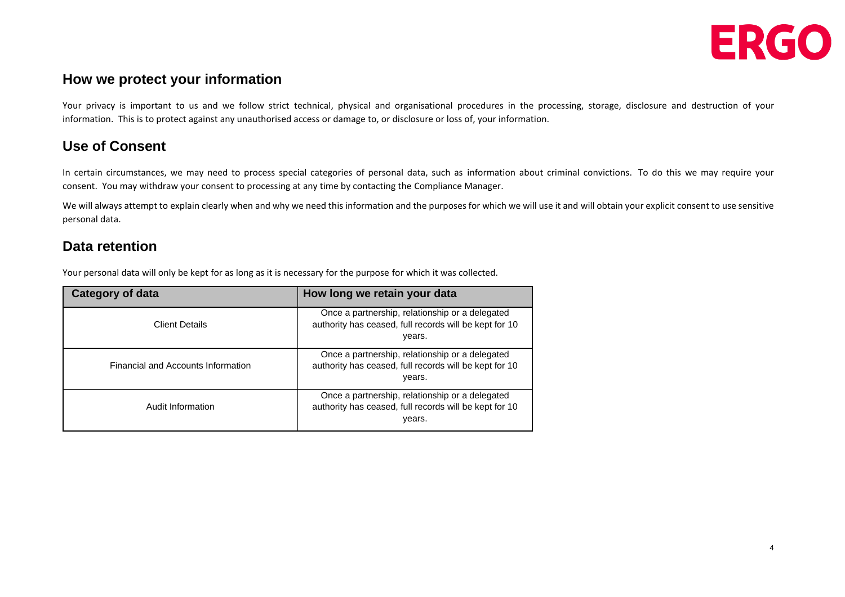

### **How we protect your information**

Your privacy is important to us and we follow strict technical, physical and organisational procedures in the processing, storage, disclosure and destruction of your information. This is to protect against any unauthorised access or damage to, or disclosure or loss of, your information.

# **Use of Consent**

In certain circumstances, we may need to process special categories of personal data, such as information about criminal convictions. To do this we may require your consent. You may withdraw your consent to processing at any time by contacting the Compliance Manager.

We will always attempt to explain clearly when and why we need this information and the purposes for which we will use it and will obtain your explicit consent to use sensitive personal data.

### **Data retention**

Your personal data will only be kept for as long as it is necessary for the purpose for which it was collected.

| Category of data                   | How long we retain your data                                                                                        |  |  |
|------------------------------------|---------------------------------------------------------------------------------------------------------------------|--|--|
| <b>Client Details</b>              | Once a partnership, relationship or a delegated<br>authority has ceased, full records will be kept for 10<br>years. |  |  |
| Financial and Accounts Information | Once a partnership, relationship or a delegated<br>authority has ceased, full records will be kept for 10<br>years. |  |  |
| Audit Information                  | Once a partnership, relationship or a delegated<br>authority has ceased, full records will be kept for 10<br>years. |  |  |